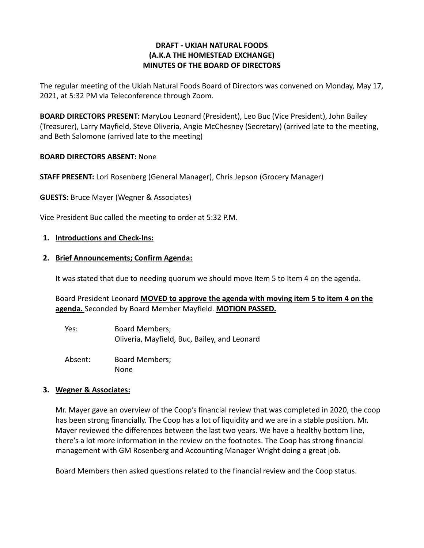## **DRAFT - UKIAH NATURAL FOODS (A.K.A THE HOMESTEAD EXCHANGE) MINUTES OF THE BOARD OF DIRECTORS**

The regular meeting of the Ukiah Natural Foods Board of Directors was convened on Monday, May 17, 2021, at 5:32 PM via Teleconference through Zoom.

**BOARD DIRECTORS PRESENT:** MaryLou Leonard (President), Leo Buc (Vice President), John Bailey (Treasurer), Larry Mayfield, Steve Oliveria, Angie McChesney (Secretary) (arrived late to the meeting, and Beth Salomone (arrived late to the meeting)

### **BOARD DIRECTORS ABSENT:** None

**STAFF PRESENT:** Lori Rosenberg (General Manager), Chris Jepson (Grocery Manager)

**GUESTS:** Bruce Mayer (Wegner & Associates)

Vice President Buc called the meeting to order at 5:32 P.M.

### **1. Introductions and Check-Ins:**

#### **2. Brief Announcements; Confirm Agenda:**

It was stated that due to needing quorum we should move Item 5 to Item 4 on the agenda.

Board President Leonard **MOVED to approve the agenda with moving item 5 to item 4 on the agenda.** Seconded by Board Member Mayfield. **MOTION PASSED.**

- Yes: Board Members; Oliveria, Mayfield, Buc, Bailey, and Leonard
- Absent: Board Members; None

# **3. Wegner & Associates:**

Mr. Mayer gave an overview of the Coop's financial review that was completed in 2020, the coop has been strong financially. The Coop has a lot of liquidity and we are in a stable position. Mr. Mayer reviewed the differences between the last two years. We have a healthy bottom line, there's a lot more information in the review on the footnotes. The Coop has strong financial management with GM Rosenberg and Accounting Manager Wright doing a great job.

Board Members then asked questions related to the financial review and the Coop status.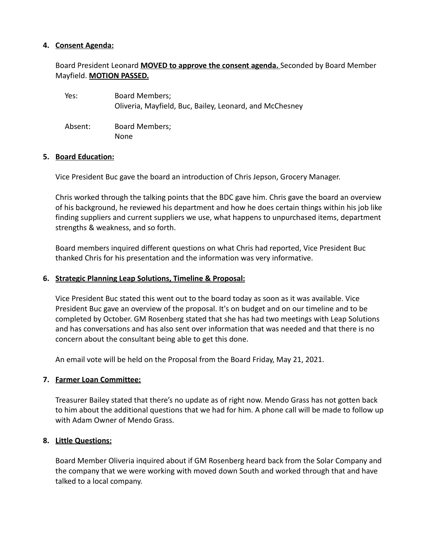### **4. Consent Agenda:**

# Board President Leonard **MOVED to approve the consent agenda.** Seconded by Board Member Mayfield. **MOTION PASSED.**

| Yes:    | Board Members;<br>Oliveria, Mayfield, Buc, Bailey, Leonard, and McChesney |
|---------|---------------------------------------------------------------------------|
| Absent: | <b>Board Members;</b><br>None                                             |

#### **5. Board Education:**

Vice President Buc gave the board an introduction of Chris Jepson, Grocery Manager.

Chris worked through the talking points that the BDC gave him. Chris gave the board an overview of his background, he reviewed his department and how he does certain things within his job like finding suppliers and current suppliers we use, what happens to unpurchased items, department strengths & weakness, and so forth.

Board members inquired different questions on what Chris had reported, Vice President Buc thanked Chris for his presentation and the information was very informative.

#### **6. Strategic Planning Leap Solutions, Timeline & Proposal:**

Vice President Buc stated this went out to the board today as soon as it was available. Vice President Buc gave an overview of the proposal. It's on budget and on our timeline and to be completed by October. GM Rosenberg stated that she has had two meetings with Leap Solutions and has conversations and has also sent over information that was needed and that there is no concern about the consultant being able to get this done.

An email vote will be held on the Proposal from the Board Friday, May 21, 2021.

#### **7. Farmer Loan Committee:**

Treasurer Bailey stated that there's no update as of right now. Mendo Grass has not gotten back to him about the additional questions that we had for him. A phone call will be made to follow up with Adam Owner of Mendo Grass.

#### **8. Little Questions:**

Board Member Oliveria inquired about if GM Rosenberg heard back from the Solar Company and the company that we were working with moved down South and worked through that and have talked to a local company.